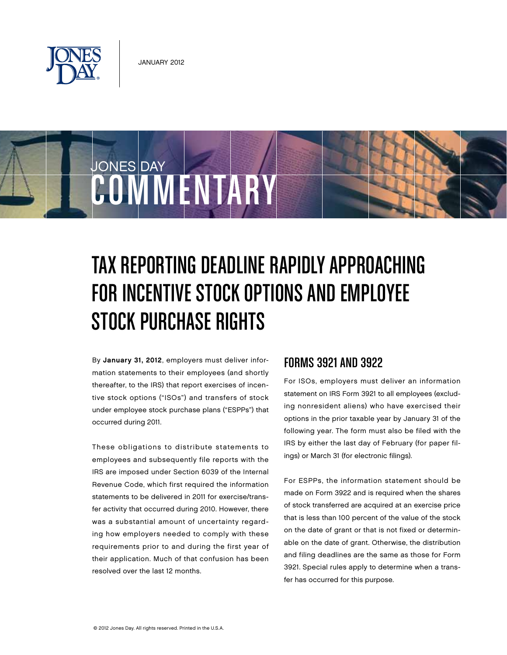

JONES DAY

occurred during 2011.

# Tax Reporting Deadline Rapidly Approaching for Incentive Stock Options and Employee

By January 31, 2012, employers must deliver information statements to their employees (and shortly thereafter, to the IRS) that report exercises of incentive stock options ("ISOs") and transfers of stock Stock Purchase Rights

under employee stock purchase plans ("ESPPs") that

COMMENTARY

These obligations to distribute statements to employees and subsequently file reports with the IRS are imposed under Section 6039 of the Internal Revenue Code, which first required the information statements to be delivered in 2011 for exercise/transfer activity that occurred during 2010. However, there was a substantial amount of uncertainty regarding how employers needed to comply with these requirements prior to and during the first year of their application. Much of that confusion has been resolved over the last 12 months.

#### Forms 3921 and 3922

For ISOs, employers must deliver an information statement on IRS Form 3921 to all employees (excluding nonresident aliens) who have exercised their options in the prior taxable year by January 31 of the following year. The form must also be filed with the IRS by either the last day of February (for paper filings) or March 31 (for electronic filings).

For ESPPs, the information statement should be made on Form 3922 and is required when the shares of stock transferred are acquired at an exercise price that is less than 100 percent of the value of the stock on the date of grant or that is not fixed or determinable on the date of grant. Otherwise, the distribution and filing deadlines are the same as those for Form 3921. Special rules apply to determine when a transfer has occurred for this purpose.